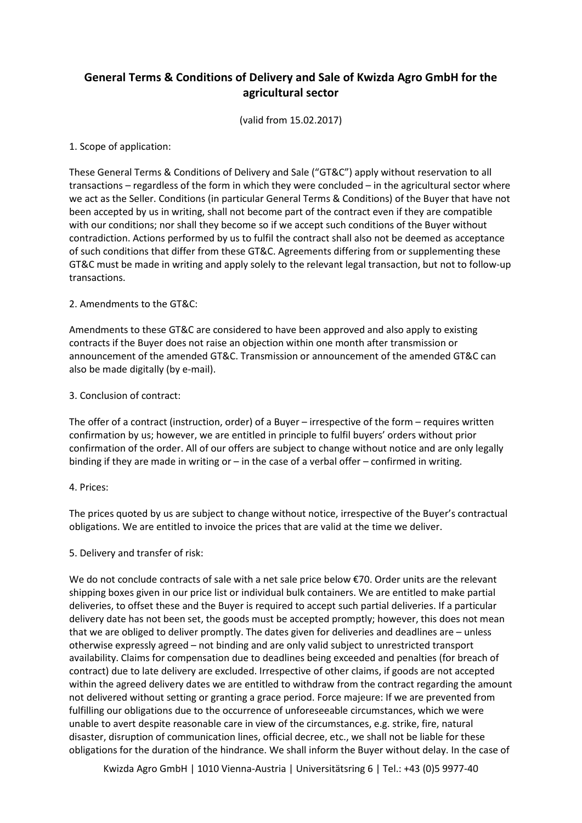# **General Terms & Conditions of Delivery and Sale of Kwizda Agro GmbH for the agricultural sector**

(valid from 15.02.2017)

## 1. Scope of application:

These General Terms & Conditions of Delivery and Sale ("GT&C") apply without reservation to all transactions – regardless of the form in which they were concluded – in the agricultural sector where we act as the Seller. Conditions (in particular General Terms & Conditions) of the Buyer that have not been accepted by us in writing, shall not become part of the contract even if they are compatible with our conditions; nor shall they become so if we accept such conditions of the Buyer without contradiction. Actions performed by us to fulfil the contract shall also not be deemed as acceptance of such conditions that differ from these GT&C. Agreements differing from or supplementing these GT&C must be made in writing and apply solely to the relevant legal transaction, but not to follow-up transactions.

## 2. Amendments to the GT&C:

Amendments to these GT&C are considered to have been approved and also apply to existing contracts if the Buyer does not raise an objection within one month after transmission or announcement of the amended GT&C. Transmission or announcement of the amended GT&C can also be made digitally (by e-mail).

## 3. Conclusion of contract:

The offer of a contract (instruction, order) of a Buyer – irrespective of the form – requires written confirmation by us; however, we are entitled in principle to fulfil buyers' orders without prior confirmation of the order. All of our offers are subject to change without notice and are only legally binding if they are made in writing or  $-$  in the case of a verbal offer  $-$  confirmed in writing.

#### 4. Prices:

The prices quoted by us are subject to change without notice, irrespective of the Buyer's contractual obligations. We are entitled to invoice the prices that are valid at the time we deliver.

#### 5. Delivery and transfer of risk:

We do not conclude contracts of sale with a net sale price below €70. Order units are the relevant shipping boxes given in our price list or individual bulk containers. We are entitled to make partial deliveries, to offset these and the Buyer is required to accept such partial deliveries. If a particular delivery date has not been set, the goods must be accepted promptly; however, this does not mean that we are obliged to deliver promptly. The dates given for deliveries and deadlines are – unless otherwise expressly agreed – not binding and are only valid subject to unrestricted transport availability. Claims for compensation due to deadlines being exceeded and penalties (for breach of contract) due to late delivery are excluded. Irrespective of other claims, if goods are not accepted within the agreed delivery dates we are entitled to withdraw from the contract regarding the amount not delivered without setting or granting a grace period. Force majeure: If we are prevented from fulfilling our obligations due to the occurrence of unforeseeable circumstances, which we were unable to avert despite reasonable care in view of the circumstances, e.g. strike, fire, natural disaster, disruption of communication lines, official decree, etc., we shall not be liable for these obligations for the duration of the hindrance. We shall inform the Buyer without delay. In the case of

Kwizda Agro GmbH | 1010 Vienna-Austria | Universitätsring 6 | Tel.: +43 (0)5 9977-40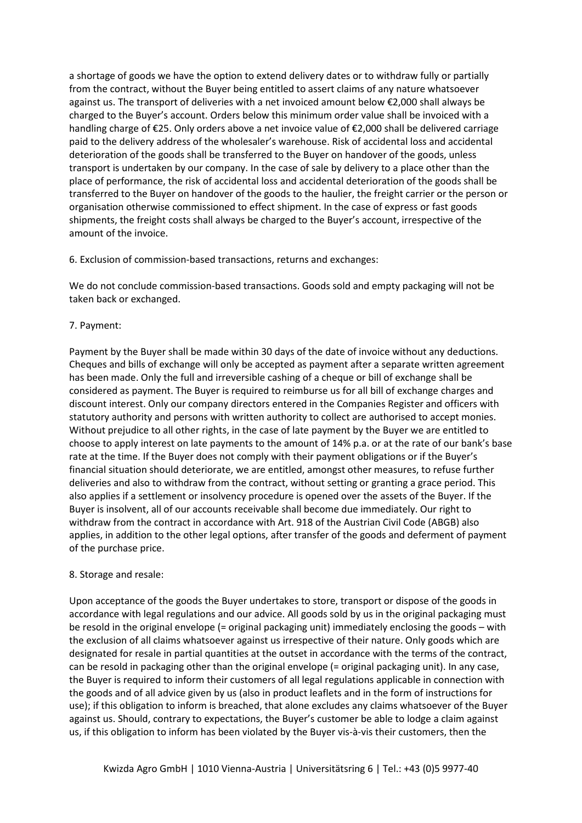a shortage of goods we have the option to extend delivery dates or to withdraw fully or partially from the contract, without the Buyer being entitled to assert claims of any nature whatsoever against us. The transport of deliveries with a net invoiced amount below €2,000 shall always be charged to the Buyer's account. Orders below this minimum order value shall be invoiced with a handling charge of €25. Only orders above a net invoice value of €2,000 shall be delivered carriage paid to the delivery address of the wholesaler's warehouse. Risk of accidental loss and accidental deterioration of the goods shall be transferred to the Buyer on handover of the goods, unless transport is undertaken by our company. In the case of sale by delivery to a place other than the place of performance, the risk of accidental loss and accidental deterioration of the goods shall be transferred to the Buyer on handover of the goods to the haulier, the freight carrier or the person or organisation otherwise commissioned to effect shipment. In the case of express or fast goods shipments, the freight costs shall always be charged to the Buyer's account, irrespective of the amount of the invoice.

6. Exclusion of commission-based transactions, returns and exchanges:

We do not conclude commission-based transactions. Goods sold and empty packaging will not be taken back or exchanged.

## 7. Payment:

Payment by the Buyer shall be made within 30 days of the date of invoice without any deductions. Cheques and bills of exchange will only be accepted as payment after a separate written agreement has been made. Only the full and irreversible cashing of a cheque or bill of exchange shall be considered as payment. The Buyer is required to reimburse us for all bill of exchange charges and discount interest. Only our company directors entered in the Companies Register and officers with statutory authority and persons with written authority to collect are authorised to accept monies. Without prejudice to all other rights, in the case of late payment by the Buyer we are entitled to choose to apply interest on late payments to the amount of 14% p.a. or at the rate of our bank's base rate at the time. If the Buyer does not comply with their payment obligations or if the Buyer's financial situation should deteriorate, we are entitled, amongst other measures, to refuse further deliveries and also to withdraw from the contract, without setting or granting a grace period. This also applies if a settlement or insolvency procedure is opened over the assets of the Buyer. If the Buyer is insolvent, all of our accounts receivable shall become due immediately. Our right to withdraw from the contract in accordance with Art. 918 of the Austrian Civil Code (ABGB) also applies, in addition to the other legal options, after transfer of the goods and deferment of payment of the purchase price.

#### 8. Storage and resale:

Upon acceptance of the goods the Buyer undertakes to store, transport or dispose of the goods in accordance with legal regulations and our advice. All goods sold by us in the original packaging must be resold in the original envelope (= original packaging unit) immediately enclosing the goods – with the exclusion of all claims whatsoever against us irrespective of their nature. Only goods which are designated for resale in partial quantities at the outset in accordance with the terms of the contract, can be resold in packaging other than the original envelope (= original packaging unit). In any case, the Buyer is required to inform their customers of all legal regulations applicable in connection with the goods and of all advice given by us (also in product leaflets and in the form of instructions for use); if this obligation to inform is breached, that alone excludes any claims whatsoever of the Buyer against us. Should, contrary to expectations, the Buyer's customer be able to lodge a claim against us, if this obligation to inform has been violated by the Buyer vis-à-vis their customers, then the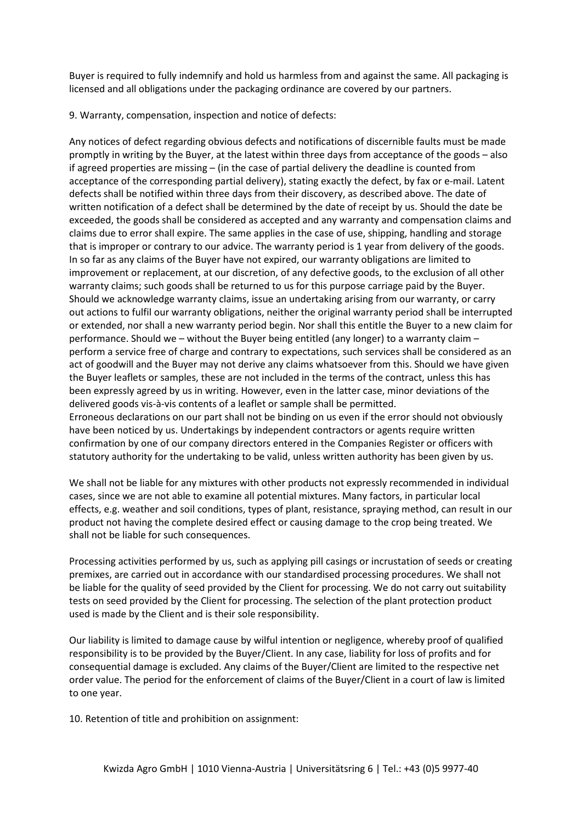Buyer is required to fully indemnify and hold us harmless from and against the same. All packaging is licensed and all obligations under the packaging ordinance are covered by our partners.

9. Warranty, compensation, inspection and notice of defects:

Any notices of defect regarding obvious defects and notifications of discernible faults must be made promptly in writing by the Buyer, at the latest within three days from acceptance of the goods – also if agreed properties are missing – (in the case of partial delivery the deadline is counted from acceptance of the corresponding partial delivery), stating exactly the defect, by fax or e-mail. Latent defects shall be notified within three days from their discovery, as described above. The date of written notification of a defect shall be determined by the date of receipt by us. Should the date be exceeded, the goods shall be considered as accepted and any warranty and compensation claims and claims due to error shall expire. The same applies in the case of use, shipping, handling and storage that is improper or contrary to our advice. The warranty period is 1 year from delivery of the goods. In so far as any claims of the Buyer have not expired, our warranty obligations are limited to improvement or replacement, at our discretion, of any defective goods, to the exclusion of all other warranty claims; such goods shall be returned to us for this purpose carriage paid by the Buyer. Should we acknowledge warranty claims, issue an undertaking arising from our warranty, or carry out actions to fulfil our warranty obligations, neither the original warranty period shall be interrupted or extended, nor shall a new warranty period begin. Nor shall this entitle the Buyer to a new claim for performance. Should we – without the Buyer being entitled (any longer) to a warranty claim – perform a service free of charge and contrary to expectations, such services shall be considered as an act of goodwill and the Buyer may not derive any claims whatsoever from this. Should we have given the Buyer leaflets or samples, these are not included in the terms of the contract, unless this has been expressly agreed by us in writing. However, even in the latter case, minor deviations of the delivered goods vis-à-vis contents of a leaflet or sample shall be permitted. Erroneous declarations on our part shall not be binding on us even if the error should not obviously

have been noticed by us. Undertakings by independent contractors or agents require written confirmation by one of our company directors entered in the Companies Register or officers with statutory authority for the undertaking to be valid, unless written authority has been given by us.

We shall not be liable for any mixtures with other products not expressly recommended in individual cases, since we are not able to examine all potential mixtures. Many factors, in particular local effects, e.g. weather and soil conditions, types of plant, resistance, spraying method, can result in our product not having the complete desired effect or causing damage to the crop being treated. We shall not be liable for such consequences.

Processing activities performed by us, such as applying pill casings or incrustation of seeds or creating premixes, are carried out in accordance with our standardised processing procedures. We shall not be liable for the quality of seed provided by the Client for processing. We do not carry out suitability tests on seed provided by the Client for processing. The selection of the plant protection product used is made by the Client and is their sole responsibility.

Our liability is limited to damage cause by wilful intention or negligence, whereby proof of qualified responsibility is to be provided by the Buyer/Client. In any case, liability for loss of profits and for consequential damage is excluded. Any claims of the Buyer/Client are limited to the respective net order value. The period for the enforcement of claims of the Buyer/Client in a court of law is limited to one year.

10. Retention of title and prohibition on assignment: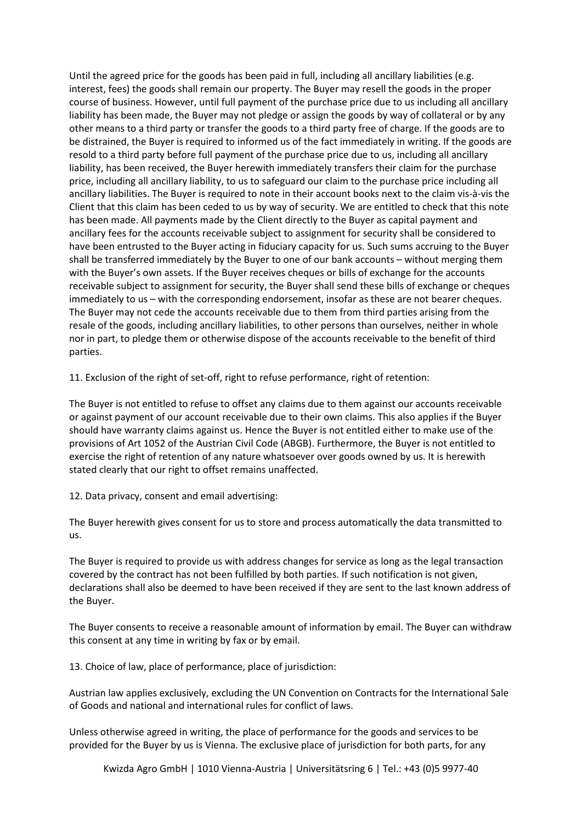Until the agreed price for the goods has been paid in full, including all ancillary liabilities (e.g. interest, fees) the goods shall remain our property. The Buyer may resell the goods in the proper course of business. However, until full payment of the purchase price due to us including all ancillary liability has been made, the Buyer may not pledge or assign the goods by way of collateral or by any other means to a third party or transfer the goods to a third party free of charge. If the goods are to be distrained, the Buyer is required to informed us of the fact immediately in writing. If the goods are resold to a third party before full payment of the purchase price due to us, including all ancillary liability, has been received, the Buyer herewith immediately transfers their claim for the purchase price, including all ancillary liability, to us to safeguard our claim to the purchase price including all ancillary liabilities. The Buyer is required to note in their account books next to the claim vis-à-vis the Client that this claim has been ceded to us by way of security. We are entitled to check that this note has been made. All payments made by the Client directly to the Buyer as capital payment and ancillary fees for the accounts receivable subject to assignment for security shall be considered to have been entrusted to the Buyer acting in fiduciary capacity for us. Such sums accruing to the Buyer shall be transferred immediately by the Buyer to one of our bank accounts – without merging them with the Buyer's own assets. If the Buyer receives cheques or bills of exchange for the accounts receivable subject to assignment for security, the Buyer shall send these bills of exchange or cheques immediately to us – with the corresponding endorsement, insofar as these are not bearer cheques. The Buyer may not cede the accounts receivable due to them from third parties arising from the resale of the goods, including ancillary liabilities, to other persons than ourselves, neither in whole nor in part, to pledge them or otherwise dispose of the accounts receivable to the benefit of third parties.

11. Exclusion of the right of set-off, right to refuse performance, right of retention:

The Buyer is not entitled to refuse to offset any claims due to them against our accounts receivable or against payment of our account receivable due to their own claims. This also applies if the Buyer should have warranty claims against us. Hence the Buyer is not entitled either to make use of the provisions of Art 1052 of the Austrian Civil Code (ABGB). Furthermore, the Buyer is not entitled to exercise the right of retention of any nature whatsoever over goods owned by us. It is herewith stated clearly that our right to offset remains unaffected.

12. Data privacy, consent and email advertising:

The Buyer herewith gives consent for us to store and process automatically the data transmitted to us.

The Buyer is required to provide us with address changes for service as long as the legal transaction covered by the contract has not been fulfilled by both parties. If such notification is not given, declarations shall also be deemed to have been received if they are sent to the last known address of the Buyer.

The Buyer consents to receive a reasonable amount of information by email. The Buyer can withdraw this consent at any time in writing by fax or by email.

13. Choice of law, place of performance, place of jurisdiction:

Austrian law applies exclusively, excluding the UN Convention on Contracts for the International Sale of Goods and national and international rules for conflict of laws.

Unless otherwise agreed in writing, the place of performance for the goods and services to be provided for the Buyer by us is Vienna. The exclusive place of jurisdiction for both parts, for any

Kwizda Agro GmbH | 1010 Vienna-Austria | Universitätsring 6 | Tel.: +43 (0)5 9977-40